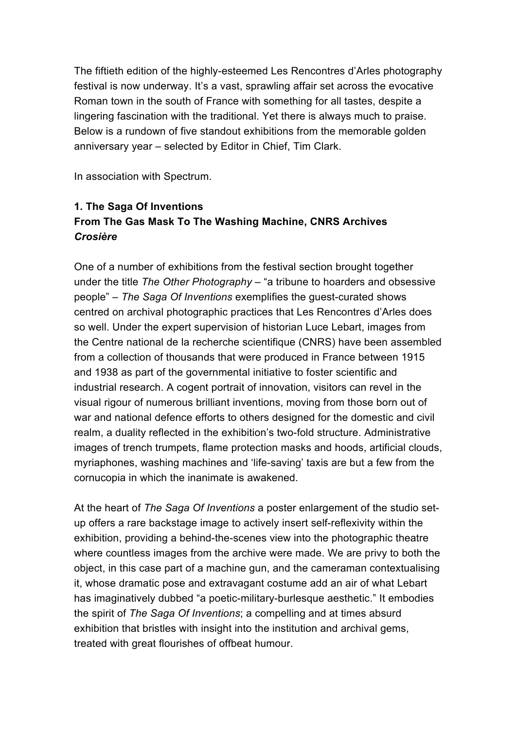The fiftieth edition of the highly-esteemed Les Rencontres d'Arles photography festival is now underway. It's a vast, sprawling affair set across the evocative Roman town in the south of France with something for all tastes, despite a lingering fascination with the traditional. Yet there is always much to praise. Below is a rundown of five standout exhibitions from the memorable golden anniversary year – selected by Editor in Chief, Tim Clark.

In association with Spectrum.

## **1. The Saga Of Inventions From The Gas Mask To The Washing Machine, CNRS Archives** *Crosière*

One of a number of exhibitions from the festival section brought together under the title *The Other Photography* – "a tribune to hoarders and obsessive people" – *The Saga Of Inventions* exemplifies the guest-curated shows centred on archival photographic practices that Les Rencontres d'Arles does so well. Under the expert supervision of historian Luce Lebart, images from the Centre national de la recherche scientifique (CNRS) have been assembled from a collection of thousands that were produced in France between 1915 and 1938 as part of the governmental initiative to foster scientific and industrial research. A cogent portrait of innovation, visitors can revel in the visual rigour of numerous brilliant inventions, moving from those born out of war and national defence efforts to others designed for the domestic and civil realm, a duality reflected in the exhibition's two-fold structure. Administrative images of trench trumpets, flame protection masks and hoods, artificial clouds, myriaphones, washing machines and 'life-saving' taxis are but a few from the cornucopia in which the inanimate is awakened.

At the heart of *The Saga Of Inventions* a poster enlargement of the studio setup offers a rare backstage image to actively insert self-reflexivity within the exhibition, providing a behind-the-scenes view into the photographic theatre where countless images from the archive were made. We are privy to both the object, in this case part of a machine gun, and the cameraman contextualising it, whose dramatic pose and extravagant costume add an air of what Lebart has imaginatively dubbed "a poetic-military-burlesque aesthetic." It embodies the spirit of *The Saga Of Inventions*; a compelling and at times absurd exhibition that bristles with insight into the institution and archival gems, treated with great flourishes of offbeat humour.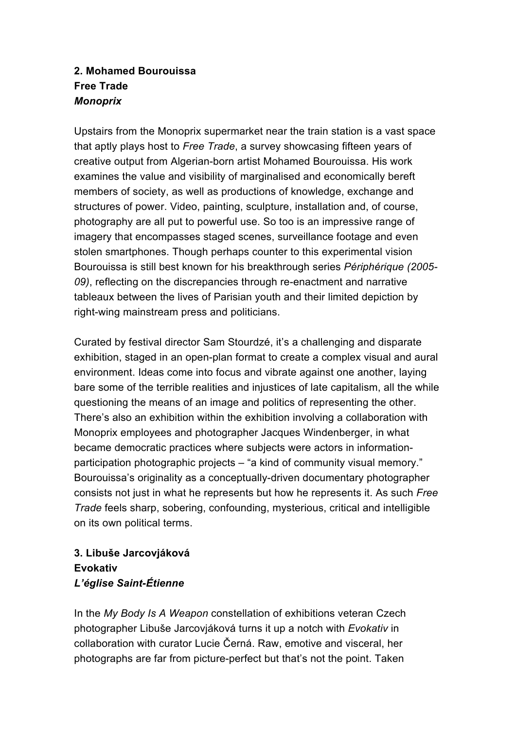### **2. Mohamed Bourouissa Free Trade** *Monoprix*

Upstairs from the Monoprix supermarket near the train station is a vast space that aptly plays host to *Free Trade*, a survey showcasing fifteen years of creative output from Algerian-born artist Mohamed Bourouissa. His work examines the value and visibility of marginalised and economically bereft members of society, as well as productions of knowledge, exchange and structures of power. Video, painting, sculpture, installation and, of course, photography are all put to powerful use. So too is an impressive range of imagery that encompasses staged scenes, surveillance footage and even stolen smartphones. Though perhaps counter to this experimental vision Bourouissa is still best known for his breakthrough series *Périphérique (2005- 09)*, reflecting on the discrepancies through re-enactment and narrative tableaux between the lives of Parisian youth and their limited depiction by right-wing mainstream press and politicians.

Curated by festival director Sam Stourdzé, it's a challenging and disparate exhibition, staged in an open-plan format to create a complex visual and aural environment. Ideas come into focus and vibrate against one another, laying bare some of the terrible realities and injustices of late capitalism, all the while questioning the means of an image and politics of representing the other. There's also an exhibition within the exhibition involving a collaboration with Monoprix employees and photographer Jacques Windenberger, in what became democratic practices where subjects were actors in informationparticipation photographic projects – "a kind of community visual memory." Bourouissa's originality as a conceptually-driven documentary photographer consists not just in what he represents but how he represents it. As such *Free Trade* feels sharp, sobering, confounding, mysterious, critical and intelligible on its own political terms.

# **3. Libuše Jarcovjáková Evokativ** *L'église Saint-Étienne*

In the *My Body Is A Weapon* constellation of exhibitions veteran Czech photographer Libuše Jarcovjáková turns it up a notch with *Evokativ* in collaboration with curator Lucie Černá. Raw, emotive and visceral, her photographs are far from picture-perfect but that's not the point. Taken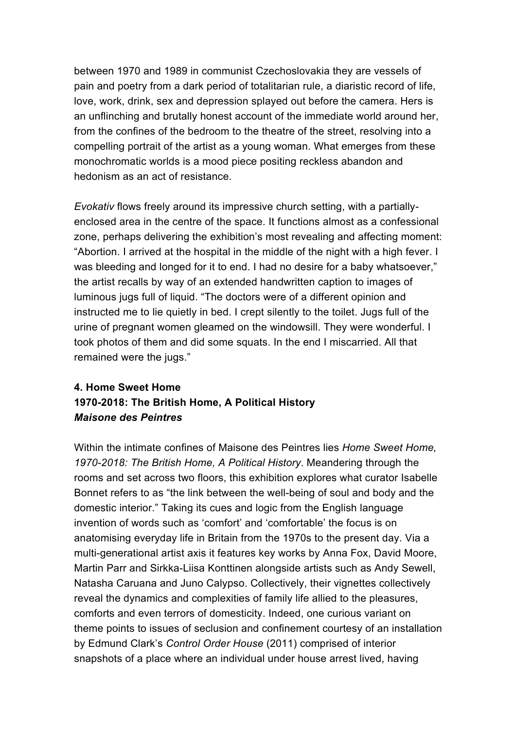between 1970 and 1989 in communist Czechoslovakia they are vessels of pain and poetry from a dark period of totalitarian rule, a diaristic record of life, love, work, drink, sex and depression splayed out before the camera. Hers is an unflinching and brutally honest account of the immediate world around her, from the confines of the bedroom to the theatre of the street, resolving into a compelling portrait of the artist as a young woman. What emerges from these monochromatic worlds is a mood piece positing reckless abandon and hedonism as an act of resistance.

*Evokativ* flows freely around its impressive church setting, with a partiallyenclosed area in the centre of the space. It functions almost as a confessional zone, perhaps delivering the exhibition's most revealing and affecting moment: "Abortion. I arrived at the hospital in the middle of the night with a high fever. I was bleeding and longed for it to end. I had no desire for a baby whatsoever," the artist recalls by way of an extended handwritten caption to images of luminous jugs full of liquid. "The doctors were of a different opinion and instructed me to lie quietly in bed. I crept silently to the toilet. Jugs full of the urine of pregnant women gleamed on the windowsill. They were wonderful. I took photos of them and did some squats. In the end I miscarried. All that remained were the jugs."

## **4. Home Sweet Home 1970-2018: The British Home, A Political History** *Maisone des Peintres*

Within the intimate confines of Maisone des Peintres lies *Home Sweet Home, 1970-2018: The British Home, A Political History*. Meandering through the rooms and set across two floors, this exhibition explores what curator Isabelle Bonnet refers to as "the link between the well-being of soul and body and the domestic interior." Taking its cues and logic from the English language invention of words such as 'comfort' and 'comfortable' the focus is on anatomising everyday life in Britain from the 1970s to the present day. Via a multi-generational artist axis it features key works by Anna Fox, David Moore, Martin Parr and Sirkka-Liisa Konttinen alongside artists such as Andy Sewell, Natasha Caruana and Juno Calypso. Collectively, their vignettes collectively reveal the dynamics and complexities of family life allied to the pleasures, comforts and even terrors of domesticity. Indeed, one curious variant on theme points to issues of seclusion and confinement courtesy of an installation by Edmund Clark's *Control Order House* (2011) comprised of interior snapshots of a place where an individual under house arrest lived, having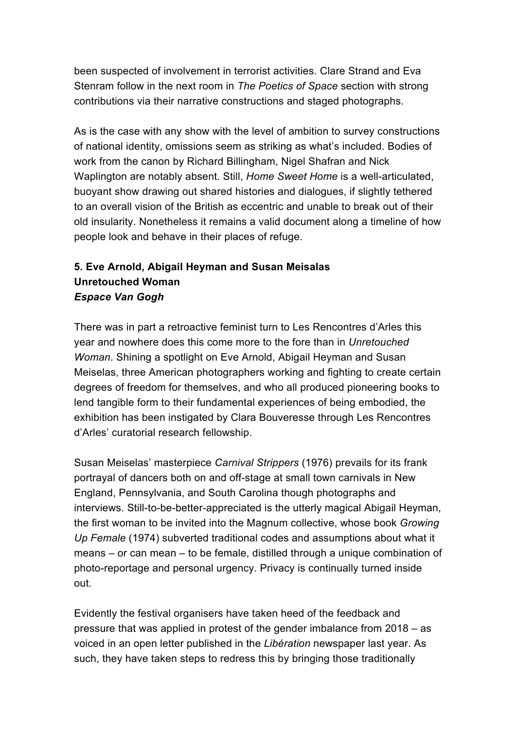been suspected of involvement in terrorist activities. Clare Strand and Eva Stenram follow in the next room in *The Poetics of Space* section with strong contributions via their narrative constructions and staged photographs.

As is the case with any show with the level of ambition to survey constructions of national identity, omissions seem as striking as what's included. Bodies of work from the canon by Richard Billingham, Nigel Shafran and Nick Waplington are notably absent. Still, *Home Sweet Home* is a well-articulated, buoyant show drawing out shared histories and dialogues, if slightly tethered to an overall vision of the British as eccentric and unable to break out of their old insularity. Nonetheless it remains a valid document along a timeline of how people look and behave in their places of refuge.

### **5. Eve Arnold, Abigail Heyman and Susan Meisalas Unretouched Woman** *Espace Van Gogh*

There was in part a retroactive feminist turn to Les Rencontres d'Arles this year and nowhere does this come more to the fore than in *Unretouched Woman*. Shining a spotlight on Eve Arnold, Abigail Heyman and Susan Meiselas, three American photographers working and fighting to create certain degrees of freedom for themselves, and who all produced pioneering books to lend tangible form to their fundamental experiences of being embodied, the exhibition has been instigated by Clara Bouveresse through Les Rencontres d'Arles' curatorial research fellowship.

Susan Meiselas' masterpiece *Carnival Strippers* (1976) prevails for its frank portrayal of dancers both on and off-stage at small town carnivals in New England, Pennsylvania, and South Carolina though photographs and interviews. Still-to-be-better-appreciated is the utterly magical Abigail Heyman, the first woman to be invited into the Magnum collective, whose book *Growing Up Female* (1974) subverted traditional codes and assumptions about what it means – or can mean – to be female, distilled through a unique combination of photo-reportage and personal urgency. Privacy is continually turned inside out.

Evidently the festival organisers have taken heed of the feedback and pressure that was applied in protest of the gender imbalance from 2018 – as voiced in an open letter published in the *Libération* newspaper last year. As such, they have taken steps to redress this by bringing those traditionally